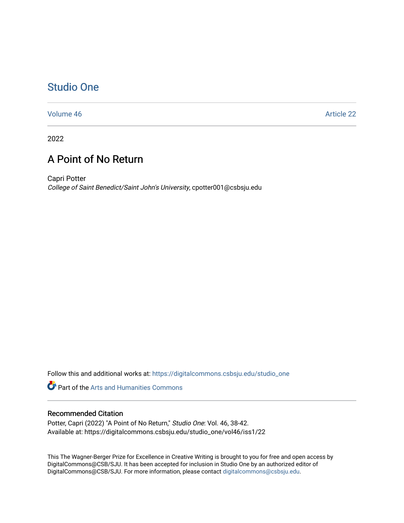## [Studio One](https://digitalcommons.csbsju.edu/studio_one)

[Volume 46](https://digitalcommons.csbsju.edu/studio_one/vol46) Article 22

2022

## A Point of No Return

Capri Potter College of Saint Benedict/Saint John's University, cpotter001@csbsju.edu

Follow this and additional works at: [https://digitalcommons.csbsju.edu/studio\\_one](https://digitalcommons.csbsju.edu/studio_one?utm_source=digitalcommons.csbsju.edu%2Fstudio_one%2Fvol46%2Fiss1%2F22&utm_medium=PDF&utm_campaign=PDFCoverPages) 

**Part of the Arts and Humanities Commons** 

## Recommended Citation

Potter, Capri (2022) "A Point of No Return," Studio One: Vol. 46, 38-42. Available at: https://digitalcommons.csbsju.edu/studio\_one/vol46/iss1/22

This The Wagner-Berger Prize for Excellence in Creative Writing is brought to you for free and open access by DigitalCommons@CSB/SJU. It has been accepted for inclusion in Studio One by an authorized editor of DigitalCommons@CSB/SJU. For more information, please contact [digitalcommons@csbsju.edu](mailto:digitalcommons@csbsju.edu).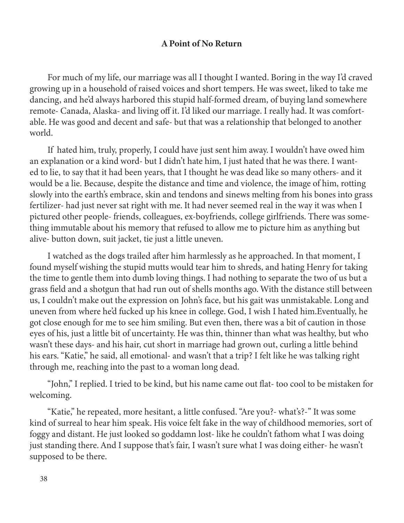## A Point of No Return

For much of my life, our marriage was all I thought I wanted. Boring in the way I'd craved growing up in a household of raised voices and short tempers. He was sweet, liked to take me dancing, and he'd always harbored this stupid half-formed dream, of buying land somewhere remote- Canada, Alaska- and living off it. I'd liked our marriage. I really had. It was comfortable. He was good and decent and safe- but that was a relationship that belonged to another world.

If hated him, truly, properly, I could have just sent him away. I wouldn't have owed him an explanation or a kind word- but I didn't hate him, I just hated that he was there. I wanted to lie, to say that it had been years, that I thought he was dead like so many others- and it would be a lie. Because, despite the distance and time and violence, the image of him, rotting slowly into the earth's embrace, skin and tendons and sinews melting from his bones into grass fertilizer- had just never sat right with me. It had never seemed real in the way it was when I pictured other people- friends, colleagues, ex-boyfriends, college girlfriends. There was something immutable about his memory that refused to allow me to picture him as anything but alive- button down, suit jacket, tie just a little uneven.

I watched as the dogs trailed after him harmlessly as he approached. In that moment, I found myself wishing the stupid mutts would tear him to shreds, and hating Henry for taking the time to gentle them into dumb loving things. I had nothing to separate the two of us but a grass field and a shotgun that had run out of shells months ago. With the distance still between us, I couldn't make out the expression on John's face, but his gait was unmistakable. Long and uneven from where he'd fucked up his knee in college. God, I wish I hated him.Eventually, he got close enough for me to see him smiling. But even then, there was a bit of caution in those eyes of his, just a little bit of uncertainty. He was thin, thinner than what was healthy, but who wasn't these days- and his hair, cut short in marriage had grown out, curling a little behind his ears. "Katie," he said, all emotional- and wasn't that a trip? I felt like he was talking right through me, reaching into the past to a woman long dead.

"John," I replied. I tried to be kind, but his name came out flat- too cool to be mistaken for welcoming.

"Katie," he repeated, more hesitant, a little confused. "Are you?- what's?-" It was some kind of surreal to hear him speak. His voice felt fake in the way of childhood memories, sort of foggy and distant. He just looked so goddamn lost- like he couldn't fathom what I was doing just standing there. And I suppose that's fair, I wasn't sure what I was doing either- he wasn't supposed to be there.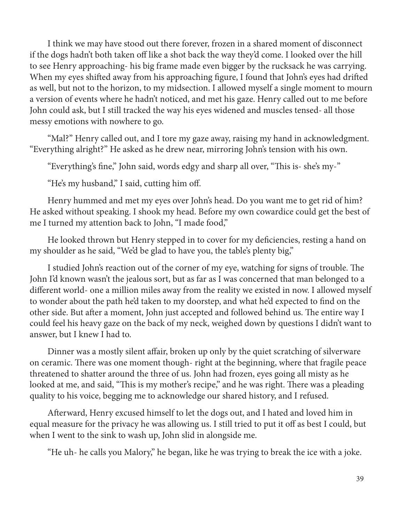I think we may have stood out there forever, frozen in a shared moment of disconnect if the dogs hadn't both taken off like a shot back the way they'd come. I looked over the hill to see Henry approaching- his big frame made even bigger by the rucksack he was carrying. When my eyes shifted away from his approaching figure, I found that John's eyes had drifted as well, but not to the horizon, to my midsection. I allowed myself a single moment to mourn a version of events where he hadn't noticed, and met his gaze. Henry called out to me before John could ask, but I still tracked the way his eyes widened and muscles tensed- all those messy emotions with nowhere to go.

"Mal?" Henry called out, and I tore my gaze away, raising my hand in acknowledgment. "Everything alright?" He asked as he drew near, mirroring John's tension with his own.

"Everything's fine," John said, words edgy and sharp all over, "This is- she's my-"

"He's my husband," I said, cutting him off.

Henry hummed and met my eyes over John's head. Do you want me to get rid of him? He asked without speaking. I shook my head. Before my own cowardice could get the best of me I turned my attention back to John, "I made food,"

He looked thrown but Henry stepped in to cover for my deficiencies, resting a hand on my shoulder as he said, "We'd be glad to have you, the table's plenty big,"

I studied John's reaction out of the corner of my eye, watching for signs of trouble. The John I'd known wasn't the jealous sort, but as far as I was concerned that man belonged to a different world- one a million miles away from the reality we existed in now. I allowed myself to wonder about the path he'd taken to my doorstep, and what he'd expected to find on the other side. But after a moment, John just accepted and followed behind us. The entire way I could feel his heavy gaze on the back of my neck, weighed down by questions I didn't want to answer, but I knew I had to.

Dinner was a mostly silent affair, broken up only by the quiet scratching of silverware on ceramic. There was one moment though- right at the beginning, where that fragile peace threatened to shatter around the three of us. John had frozen, eyes going all misty as he looked at me, and said, "This is my mother's recipe," and he was right. There was a pleading quality to his voice, begging me to acknowledge our shared history, and I refused.

Afterward, Henry excused himself to let the dogs out, and I hated and loved him in equal measure for the privacy he was allowing us. I still tried to put it off as best I could, but when I went to the sink to wash up, John slid in alongside me.

"He uh- he calls you Malory," he began, like he was trying to break the ice with a joke.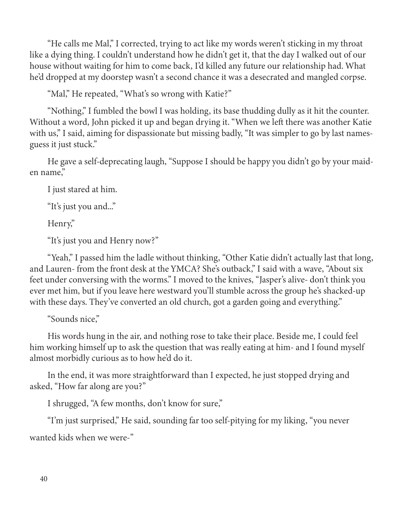"He calls me Mal," I corrected, trying to act like my words weren't sticking in my throat like a dying thing. I couldn't understand how he didn't get it, that the day I walked out of our house without waiting for him to come back, I'd killed any future our relationship had. What he'd dropped at my doorstep wasn't a second chance it was a desecrated and mangled corpse.

"Mal," He repeated, "What's so wrong with Katie?"

"Nothing," I fumbled the bowl I was holding, its base thudding dully as it hit the counter. Without a word, John picked it up and began drying it. "When we left there was another Katie with us," I said, aiming for dispassionate but missing badly, "It was simpler to go by last namesguess it just stuck."

He gave a self-deprecating laugh, "Suppose I should be happy you didn't go by your maiden name,"

I just stared at him.

"It's just you and..."

Henry,"

"It's just you and Henry now?"

"Yeah," I passed him the ladle without thinking, "Other Katie didn't actually last that long, and Lauren- from the front desk at the YMCA? She's outback," I said with a wave, "About six feet under conversing with the worms." I moved to the knives, "Jasper's alive- don't think you ever met him, but if you leave here westward you'll stumble across the group he's shacked-up with these days. They've converted an old church, got a garden going and everything."

"Sounds nice,"

His words hung in the air, and nothing rose to take their place. Beside me, I could feel him working himself up to ask the question that was really eating at him- and I found myself almost morbidly curious as to how he'd do it.

In the end, it was more straightforward than I expected, he just stopped drying and asked, "How far along are you?"

I shrugged, "A few months, don't know for sure,"

"I'm just surprised," He said, sounding far too self-pitying for my liking, "you never

wanted kids when we were-"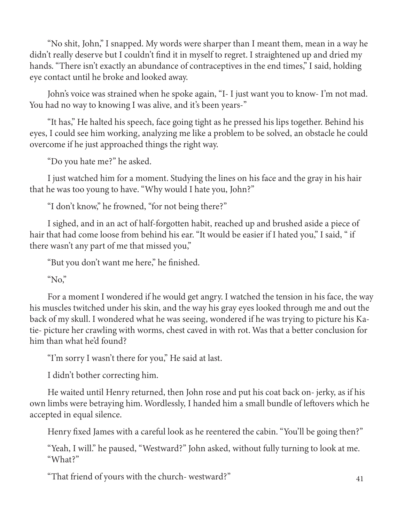"No shit, John," I snapped. My words were sharper than I meant them, mean in a way he didn't really deserve but I couldn't find it in myself to regret. I straightened up and dried my hands. "There isn't exactly an abundance of contraceptives in the end times," I said, holding eye contact until he broke and looked away.

John's voice was strained when he spoke again, "I- I just want you to know- I'm not mad. You had no way to knowing I was alive, and it's been years-"

"It has," He halted his speech, face going tight as he pressed his lips together. Behind his eyes, I could see him working, analyzing me like a problem to be solved, an obstacle he could overcome if he just approached things the right way.

"Do you hate me?" he asked.

I just watched him for a moment. Studying the lines on his face and the gray in his hair that he was too young to have. "Why would I hate you, John?"

"I don't know," he frowned, "for not being there?"

I sighed, and in an act of half-forgotten habit, reached up and brushed aside a piece of hair that had come loose from behind his ear. "It would be easier if I hated you," I said, " if there wasn't any part of me that missed you,"

"But you don't want me here," he finished.

"No,"

For a moment I wondered if he would get angry. I watched the tension in his face, the way his muscles twitched under his skin, and the way his gray eyes looked through me and out the back of my skull. I wondered what he was seeing, wondered if he was trying to picture his Katie- picture her crawling with worms, chest caved in with rot. Was that a better conclusion for him than what he'd found?

"I'm sorry I wasn't there for you," He said at last.

I didn't bother correcting him.

He waited until Henry returned, then John rose and put his coat back on- jerky, as if his own limbs were betraying him. Wordlessly, I handed him a small bundle of leftovers which he accepted in equal silence.

Henry fixed James with a careful look as he reentered the cabin. "You'll be going then?"

"Yeah, I will." he paused, "Westward?" John asked, without fully turning to look at me. "What?"

"That friend of yours with the church- westward?" 41